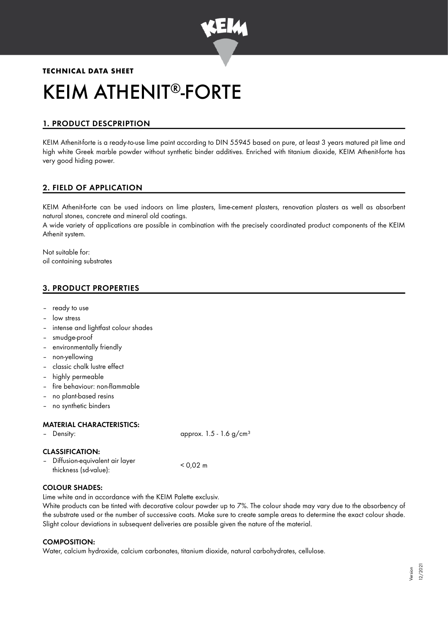

# **TECHNICAL DATA SHEET** KEIM ATHENIT®-FORTE

# 1. PRODUCT DESCPRIPTION

KEIM Athenit-forte is a ready-to-use lime paint according to DIN 55945 based on pure, at least 3 years matured pit lime and high white Greek marble powder without synthetic binder additives. Enriched with titanium dioxide, KEIM Athenit-forte has very good hiding power.

# 2. FIELD OF APPLICATION

KEIM Athenit-forte can be used indoors on lime plasters, lime-cement plasters, renovation plasters as well as absorbent natural stones, concrete and mineral old coatings.

A wide variety of applications are possible in combination with the precisely coordinated product components of the KEIM Athenit system.

Not suitable for: oil containing substrates

# 3. PRODUCT PROPERTIES

- ready to use
- low stress
- intense and lightfast colour shades
- smudge-proof
- environmentally friendly
- non-yellowing
- classic chalk lustre effect
- highly permeable
- fire behaviour: non-flammable
- no plant-based resins
- no synthetic binders

# MATERIAL CHARACTERISTICS:

| - Density:                                                | approx. $1.5 - 1.6$ g/cm <sup>3</sup> |
|-----------------------------------------------------------|---------------------------------------|
| <b>CLASSIFICATION:</b>                                    |                                       |
| - Diffusion-equivalent air layer<br>thickness (sd-value): | $< 0.02 \text{ m}$                    |

#### COLOUR SHADES:

Lime white and in accordance with the KEIM Palette exclusiv.

White products can be tinted with decorative colour powder up to 7%. The colour shade may vary due to the absorbency of the substrate used or the number of successive coats. Make sure to create sample areas to determine the exact colour shade. Slight colour deviations in subsequent deliveries are possible given the nature of the material.

#### COMPOSITION:

Water, calcium hydroxide, calcium carbonates, titanium dioxide, natural carbohydrates, cellulose.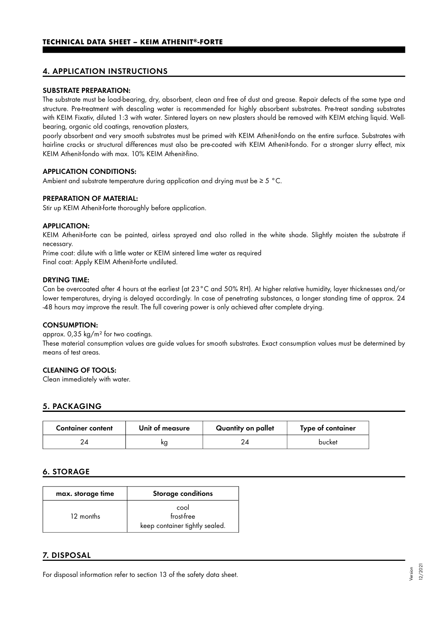# 4. APPLICATION INSTRUCTIONS

#### SUBSTRATE PREPARATION:

The substrate must be load-bearing, dry, absorbent, clean and free of dust and grease. Repair defects of the same type and structure. Pre-treatment with descaling water is recommended for highly absorbent substrates. Pre-treat sanding substrates with KEIM Fixativ, diluted 1:3 with water. Sintered layers on new plasters should be removed with KEIM etching liquid. Wellbearing, organic old coatings, renovation plasters,

poorly absorbent and very smooth substrates must be primed with KEIM Athenit-fondo on the entire surface. Substrates with hairline cracks or structural differences must also be pre-coated with KEIM Athenit-fondo. For a stronger slurry effect, mix KEIM Athenit-fondo with max. 10% KEIM Athenit-fino.

#### APPLICATION CONDITIONS:

Ambient and substrate temperature during application and drying must be  $\geq 5$  °C.

#### PREPARATION OF MATERIAL:

Stir up KEIM Athenit-forte thoroughly before application.

#### APPLICATION:

KEIM Athenit-forte can be painted, airless sprayed and also rolled in the white shade. Slightly moisten the substrate if necessary.

Prime coat: dilute with a little water or KEIM sintered lime water as required Final coat: Apply KEIM Athenit-forte undiluted.

#### DRYING TIME:

Can be overcoated after 4 hours at the earliest (at 23°C and 50% RH). At higher relative humidity, layer thicknesses and/or lower temperatures, drying is delayed accordingly. In case of penetrating substances, a longer standing time of approx. 24 -48 hours may improve the result. The full covering power is only achieved after complete drying.

#### CONSUMPTION:

approx. 0,35 kg/m² for two coatings. These material consumption values are guide values for smooth substrates. Exact consumption values must be determined by means of test areas.

#### CLEANING OF TOOLS:

Clean immediately with water.

# 5. PACKAGING

| <b>Container content</b> | Unit of measure | Quantity on pallet | Type of container |
|--------------------------|-----------------|--------------------|-------------------|
|                          | ΚQ              |                    | bucket            |

# 6. STORAGE

| max. storage time | <b>Storage conditions</b>                            |
|-------------------|------------------------------------------------------|
| 12 months         | cool<br>frost-free<br>keep container tightly sealed. |

# 7. DISPOSAL

For disposal information refer to section 13 of the safety data sheet.